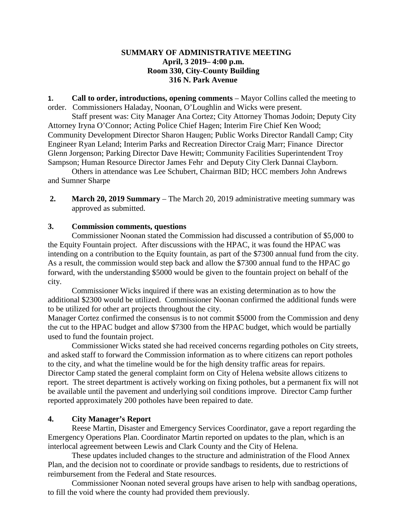### **SUMMARY OF ADMINISTRATIVE MEETING April, 3 2019– 4:00 p.m. Room 330, City-County Building 316 N. Park Avenue**

**1. Call to order, introductions, opening comments** – Mayor Collins called the meeting to order. Commissioners Haladay, Noonan, O'Loughlin and Wicks were present.

Staff present was: City Manager Ana Cortez; City Attorney Thomas Jodoin; Deputy City Attorney Iryna O'Connor; Acting Police Chief Hagen; Interim Fire Chief Ken Wood; Community Development Director Sharon Haugen; Public Works Director Randall Camp; City Engineer Ryan Leland; Interim Parks and Recreation Director Craig Marr; Finance Director Glenn Jorgenson; Parking Director Dave Hewitt; Community Facilities Superintendent Troy Sampson; Human Resource Director James Fehr and Deputy City Clerk Dannai Clayborn.

Others in attendance was Lee Schubert, Chairman BID; HCC members John Andrews and Sumner Sharpe

**2. March 20, 2019 Summary** – The March 20, 2019 administrative meeting summary was approved as submitted.

# **3. Commission comments, questions**

Commissioner Noonan stated the Commission had discussed a contribution of \$5,000 to the Equity Fountain project. After discussions with the HPAC, it was found the HPAC was intending on a contribution to the Equity fountain, as part of the \$7300 annual fund from the city. As a result, the commission would step back and allow the \$7300 annual fund to the HPAC go forward, with the understanding \$5000 would be given to the fountain project on behalf of the city.

Commissioner Wicks inquired if there was an existing determination as to how the additional \$2300 would be utilized. Commissioner Noonan confirmed the additional funds were to be utilized for other art projects throughout the city.

Manager Cortez confirmed the consensus is to not commit \$5000 from the Commission and deny the cut to the HPAC budget and allow \$7300 from the HPAC budget, which would be partially used to fund the fountain project.

Commissioner Wicks stated she had received concerns regarding potholes on City streets, and asked staff to forward the Commission information as to where citizens can report potholes to the city, and what the timeline would be for the high density traffic areas for repairs. Director Camp stated the general complaint form on City of Helena website allows citizens to report. The street department is actively working on fixing potholes, but a permanent fix will not be available until the pavement and underlying soil conditions improve. Director Camp further reported approximately 200 potholes have been repaired to date.

### **4. City Manager's Report**

Reese Martin, Disaster and Emergency Services Coordinator, gave a report regarding the Emergency Operations Plan. Coordinator Martin reported on updates to the plan, which is an interlocal agreement between Lewis and Clark County and the City of Helena.

These updates included changes to the structure and administration of the Flood Annex Plan, and the decision not to coordinate or provide sandbags to residents, due to restrictions of reimbursement from the Federal and State resources.

Commissioner Noonan noted several groups have arisen to help with sandbag operations, to fill the void where the county had provided them previously.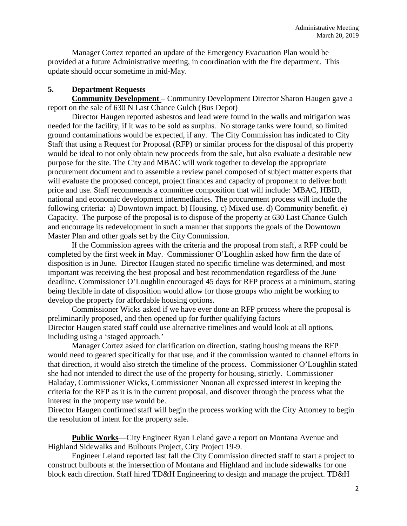Manager Cortez reported an update of the Emergency Evacuation Plan would be provided at a future Administrative meeting, in coordination with the fire department. This update should occur sometime in mid-May.

# **5. Department Requests**

**Community Development** – Community Development Director Sharon Haugen gave a report on the sale of 630 N Last Chance Gulch (Bus Depot)

Director Haugen reported asbestos and lead were found in the walls and mitigation was needed for the facility, if it was to be sold as surplus. No storage tanks were found, so limited ground contaminations would be expected, if any. The City Commission has indicated to City Staff that using a Request for Proposal (RFP) or similar process for the disposal of this property would be ideal to not only obtain new proceeds from the sale, but also evaluate a desirable new purpose for the site. The City and MBAC will work together to develop the appropriate procurement document and to assemble a review panel composed of subject matter experts that will evaluate the proposed concept, project finances and capacity of proponent to deliver both price and use. Staff recommends a committee composition that will include: MBAC, HBID, national and economic development intermediaries. The procurement process will include the following criteria: a) Downtown impact. b) Housing. c) Mixed use. d) Community benefit. e) Capacity. The purpose of the proposal is to dispose of the property at 630 Last Chance Gulch and encourage its redevelopment in such a manner that supports the goals of the Downtown Master Plan and other goals set by the City Commission.

If the Commission agrees with the criteria and the proposal from staff, a RFP could be completed by the first week in May. Commissioner O'Loughlin asked how firm the date of disposition is in June. Director Haugen stated no specific timeline was determined, and most important was receiving the best proposal and best recommendation regardless of the June deadline. Commissioner O'Loughlin encouraged 45 days for RFP process at a minimum, stating being flexible in date of disposition would allow for those groups who might be working to develop the property for affordable housing options.

Commissioner Wicks asked if we have ever done an RFP process where the proposal is preliminarily proposed, and then opened up for further qualifying factors Director Haugen stated staff could use alternative timelines and would look at all options, including using a 'staged approach.'

Manager Cortez asked for clarification on direction, stating housing means the RFP would need to geared specifically for that use, and if the commission wanted to channel efforts in that direction, it would also stretch the timeline of the process. Commissioner O'Loughlin stated she had not intended to direct the use of the property for housing, strictly. Commissioner Haladay, Commissioner Wicks, Commissioner Noonan all expressed interest in keeping the criteria for the RFP as it is in the current proposal, and discover through the process what the interest in the property use would be.

Director Haugen confirmed staff will begin the process working with the City Attorney to begin the resolution of intent for the property sale.

**Public Works**—City Engineer Ryan Leland gave a report on Montana Avenue and Highland Sidewalks and Bulbouts Project, City Project 19-9.

Engineer Leland reported last fall the City Commission directed staff to start a project to construct bulbouts at the intersection of Montana and Highland and include sidewalks for one block each direction. Staff hired TD&H Engineering to design and manage the project. TD&H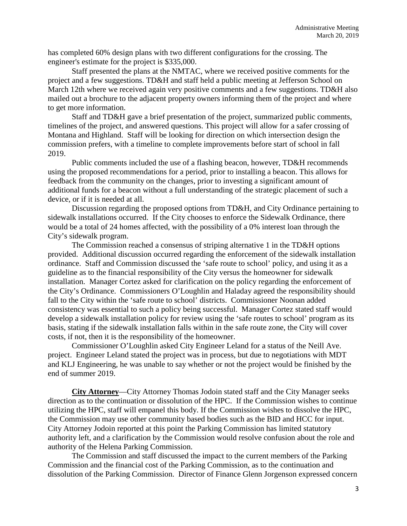has completed 60% design plans with two different configurations for the crossing. The engineer's estimate for the project is \$335,000.

Staff presented the plans at the NMTAC, where we received positive comments for the project and a few suggestions. TD&H and staff held a public meeting at Jefferson School on March 12th where we received again very positive comments and a few suggestions. TD&H also mailed out a brochure to the adjacent property owners informing them of the project and where to get more information.

Staff and TD&H gave a brief presentation of the project, summarized public comments, timelines of the project, and answered questions. This project will allow for a safer crossing of Montana and Highland. Staff will be looking for direction on which intersection design the commission prefers, with a timeline to complete improvements before start of school in fall 2019.

Public comments included the use of a flashing beacon, however, TD&H recommends using the proposed recommendations for a period, prior to installing a beacon. This allows for feedback from the community on the changes, prior to investing a significant amount of additional funds for a beacon without a full understanding of the strategic placement of such a device, or if it is needed at all.

Discussion regarding the proposed options from TD&H, and City Ordinance pertaining to sidewalk installations occurred. If the City chooses to enforce the Sidewalk Ordinance, there would be a total of 24 homes affected, with the possibility of a 0% interest loan through the City's sidewalk program.

The Commission reached a consensus of striping alternative 1 in the TD&H options provided. Additional discussion occurred regarding the enforcement of the sidewalk installation ordinance. Staff and Commission discussed the 'safe route to school' policy, and using it as a guideline as to the financial responsibility of the City versus the homeowner for sidewalk installation. Manager Cortez asked for clarification on the policy regarding the enforcement of the City's Ordinance. Commissioners O'Loughlin and Haladay agreed the responsibility should fall to the City within the 'safe route to school' districts. Commissioner Noonan added consistency was essential to such a policy being successful. Manager Cortez stated staff would develop a sidewalk installation policy for review using the 'safe routes to school' program as its basis, stating if the sidewalk installation falls within in the safe route zone, the City will cover costs, if not, then it is the responsibility of the homeowner.

Commissioner O'Loughlin asked City Engineer Leland for a status of the Neill Ave. project. Engineer Leland stated the project was in process, but due to negotiations with MDT and KLJ Engineering, he was unable to say whether or not the project would be finished by the end of summer 2019.

**City Attorney**—City Attorney Thomas Jodoin stated staff and the City Manager seeks direction as to the continuation or dissolution of the HPC. If the Commission wishes to continue utilizing the HPC, staff will empanel this body. If the Commission wishes to dissolve the HPC, the Commission may use other community based bodies such as the BID and HCC for input. City Attorney Jodoin reported at this point the Parking Commission has limited statutory authority left, and a clarification by the Commission would resolve confusion about the role and authority of the Helena Parking Commission.

The Commission and staff discussed the impact to the current members of the Parking Commission and the financial cost of the Parking Commission, as to the continuation and dissolution of the Parking Commission. Director of Finance Glenn Jorgenson expressed concern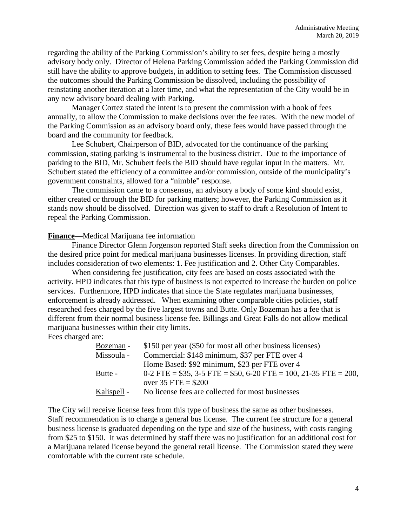regarding the ability of the Parking Commission's ability to set fees, despite being a mostly advisory body only. Director of Helena Parking Commission added the Parking Commission did still have the ability to approve budgets, in addition to setting fees. The Commission discussed the outcomes should the Parking Commission be dissolved, including the possibility of reinstating another iteration at a later time, and what the representation of the City would be in any new advisory board dealing with Parking.

Manager Cortez stated the intent is to present the commission with a book of fees annually, to allow the Commission to make decisions over the fee rates. With the new model of the Parking Commission as an advisory board only, these fees would have passed through the board and the community for feedback.

Lee Schubert, Chairperson of BID, advocated for the continuance of the parking commission, stating parking is instrumental to the business district. Due to the importance of parking to the BID, Mr. Schubert feels the BID should have regular input in the matters. Mr. Schubert stated the efficiency of a committee and/or commission, outside of the municipality's government constraints, allowed for a "nimble" response.

The commission came to a consensus, an advisory a body of some kind should exist, either created or through the BID for parking matters; however, the Parking Commission as it stands now should be dissolved. Direction was given to staff to draft a Resolution of Intent to repeal the Parking Commission.

#### **Finance**—Medical Marijuana fee information

Finance Director Glenn Jorgenson reported Staff seeks direction from the Commission on the desired price point for medical marijuana businesses licenses. In providing direction, staff includes consideration of two elements: 1. Fee justification and 2. Other City Comparables.

When considering fee justification, city fees are based on costs associated with the activity. HPD indicates that this type of business is not expected to increase the burden on police services. Furthermore, HPD indicates that since the State regulates marijuana businesses, enforcement is already addressed. When examining other comparable cities policies, staff researched fees charged by the five largest towns and Butte. Only Bozeman has a fee that is different from their normal business license fee. Billings and Great Falls do not allow medical marijuana businesses within their city limits.

Fees charged are:

| Bozeman -   | \$150 per year (\$50 for most all other business licenses)         |
|-------------|--------------------------------------------------------------------|
| Missoula -  | Commercial: \$148 minimum, \$37 per FTE over 4                     |
|             | Home Based: \$92 minimum, \$23 per FTE over 4                      |
| Butte -     | $0-2$ FTE = \$35, 3-5 FTE = \$50, 6-20 FTE = 100, 21-35 FTE = 200, |
|             | over $35$ FTE = \$200                                              |
| Kalispell - | No license fees are collected for most businesses                  |

The City will receive license fees from this type of business the same as other businesses. Staff recommendation is to charge a general bus license. The current fee structure for a general business license is graduated depending on the type and size of the business, with costs ranging from \$25 to \$150. It was determined by staff there was no justification for an additional cost for a Marijuana related license beyond the general retail license. The Commission stated they were comfortable with the current rate schedule.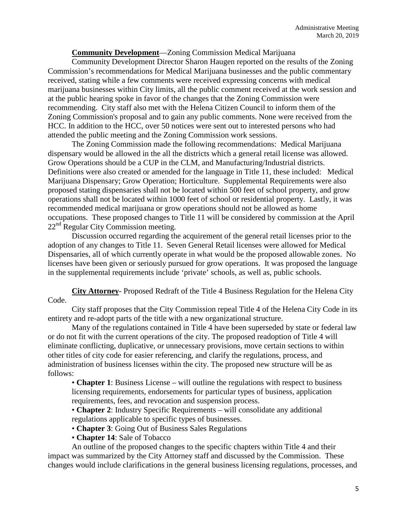# **Community Development**—Zoning Commission Medical Marijuana

Community Development Director Sharon Haugen reported on the results of the Zoning Commission's recommendations for Medical Marijuana businesses and the public commentary received, stating while a few comments were received expressing concerns with medical marijuana businesses within City limits, all the public comment received at the work session and at the public hearing spoke in favor of the changes that the Zoning Commission were recommending. City staff also met with the Helena Citizen Council to inform them of the Zoning Commission's proposal and to gain any public comments. None were received from the HCC. In addition to the HCC, over 50 notices were sent out to interested persons who had attended the public meeting and the Zoning Commission work sessions.

The Zoning Commission made the following recommendations: Medical Marijuana dispensary would be allowed in the all the districts which a general retail license was allowed. Grow Operations should be a CUP in the CLM, and Manufacturing/Industrial districts. Definitions were also created or amended for the language in Title 11, these included: Medical Marijuana Dispensary; Grow Operation; Horticulture. Supplemental Requirements were also proposed stating dispensaries shall not be located within 500 feet of school property, and grow operations shall not be located within 1000 feet of school or residential property. Lastly, it was recommended medical marijuana or grow operations should not be allowed as home occupations. These proposed changes to Title 11 will be considered by commission at the April  $22<sup>nd</sup>$  Regular City Commission meeting.

Discussion occurred regarding the acquirement of the general retail licenses prior to the adoption of any changes to Title 11. Seven General Retail licenses were allowed for Medical Dispensaries, all of which currently operate in what would be the proposed allowable zones. No licenses have been given or seriously pursued for grow operations. It was proposed the language in the supplemental requirements include 'private' schools, as well as, public schools.

**City Attorney**- Proposed Redraft of the Title 4 Business Regulation for the Helena City Code.

City staff proposes that the City Commission repeal Title 4 of the Helena City Code in its entirety and re-adopt parts of the title with a new organizational structure.

Many of the regulations contained in Title 4 have been superseded by state or federal law or do not fit with the current operations of the city. The proposed readoption of Title 4 will eliminate conflicting, duplicative, or unnecessary provisions, move certain sections to within other titles of city code for easier referencing, and clarify the regulations, process, and administration of business licenses within the city. The proposed new structure will be as follows:

• **Chapter 1**: Business License – will outline the regulations with respect to business licensing requirements, endorsements for particular types of business, application requirements, fees, and revocation and suspension process.

• **Chapter 2**: Industry Specific Requirements – will consolidate any additional regulations applicable to specific types of businesses.

• **Chapter 3**: Going Out of Business Sales Regulations

• **Chapter 14**: Sale of Tobacco

An outline of the proposed changes to the specific chapters within Title 4 and their impact was summarized by the City Attorney staff and discussed by the Commission. These changes would include clarifications in the general business licensing regulations, processes, and